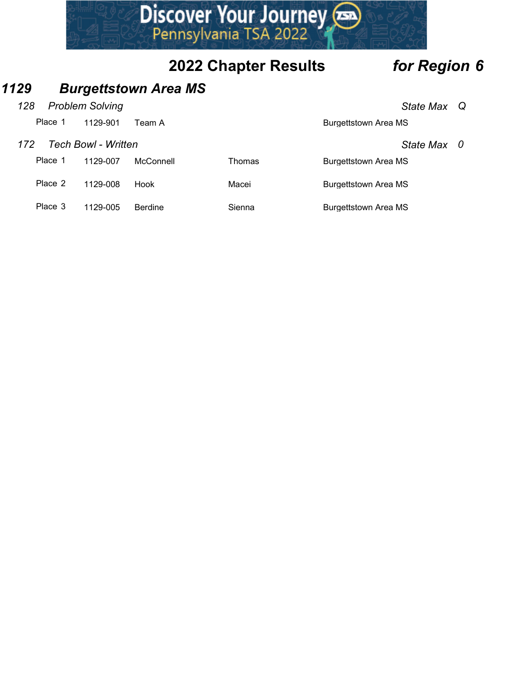

# 1129 Burgettstown Area MS

## 128 Problem Solving **State Max** Q

|         |                            |                             | Discover Your Journey       |                             |  |
|---------|----------------------------|-----------------------------|-----------------------------|-----------------------------|--|
|         |                            |                             |                             |                             |  |
|         |                            |                             | <b>2022 Chapter Results</b> | for Region 6                |  |
| 29      |                            | <b>Burgettstown Area MS</b> |                             |                             |  |
| 128     | <b>Problem Solving</b>     |                             |                             | State Max Q                 |  |
| Place 1 | 1129-901                   | Team A                      |                             | <b>Burgettstown Area MS</b> |  |
| 172     | <b>Tech Bowl - Written</b> |                             |                             | State Max 0                 |  |
|         |                            |                             |                             |                             |  |
| Place 1 | 1129-007                   | McConnell                   | Thomas                      | <b>Burgettstown Area MS</b> |  |
| Place 2 | 1129-008                   | Hook                        | Macei                       | <b>Burgettstown Area MS</b> |  |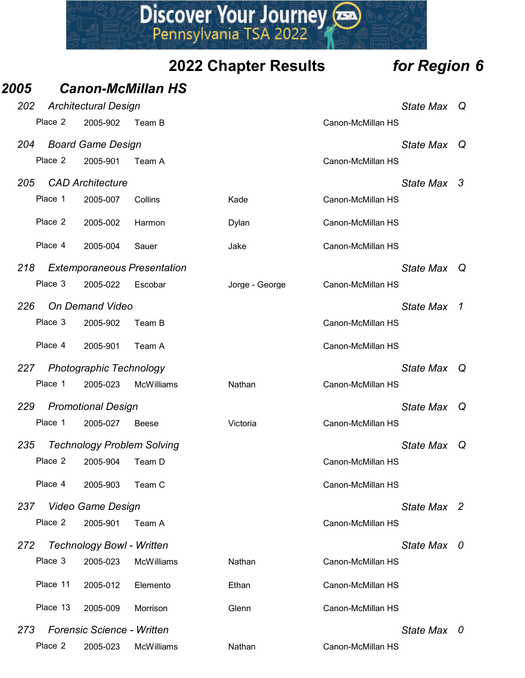|      |          |                                         |                                    | Discover Your Journey       |                                  |  |
|------|----------|-----------------------------------------|------------------------------------|-----------------------------|----------------------------------|--|
|      |          |                                         |                                    | <b>2022 Chapter Results</b> | for Region 6                     |  |
| 2005 |          |                                         | <b>Canon-McMillan HS</b>           |                             |                                  |  |
| 202  | Place 2  | <b>Architectural Design</b><br>2005-902 | Team B                             |                             | State Max Q<br>Canon-McMillan HS |  |
|      |          |                                         |                                    |                             |                                  |  |
| 204  | Place 2  | <b>Board Game Design</b><br>2005-901    | Team A                             |                             | State Max Q<br>Canon-McMillan HS |  |
| 205  |          | <b>CAD Architecture</b>                 |                                    |                             | State Max 3                      |  |
|      | Place 1  | 2005-007                                | Collins                            | Kade                        | Canon-McMillan HS                |  |
|      | Place 2  | 2005-002                                | Harmon                             | Dylan                       | Canon-McMillan HS                |  |
|      | Place 4  | 2005-004                                | Sauer                              | Jake                        | Canon-McMillan HS                |  |
|      |          |                                         |                                    |                             |                                  |  |
| 218  |          | Place 3 2005-022 Escobar                | <b>Extemporaneous Presentation</b> | Jorge - George              | State Max Q<br>Canon-McMillan HS |  |
| 226  |          | <b>On Demand Video</b>                  |                                    |                             | State Max 1                      |  |
|      | Place 3  | 2005-902                                | Team B                             |                             | Canon-McMillan HS                |  |
|      | Place 4  | 2005-901                                | Team A                             |                             | Canon-McMillan HS                |  |
| 227  |          | <b>Photographic Technology</b>          |                                    |                             | State Max Q                      |  |
|      | Place 1  | 2005-023                                | <b>McWilliams</b>                  | Nathan                      | Canon-McMillan HS                |  |
| 229  |          | <b>Promotional Design</b>               |                                    |                             | State Max Q                      |  |
|      | Place 1  | 2005-027                                | Beese                              | Victoria                    | Canon-McMillan HS                |  |
| 235  |          | <b>Technology Problem Solving</b>       |                                    |                             | State Max Q                      |  |
|      | Place 2  | 2005-904                                | Team D                             |                             | Canon-McMillan HS                |  |
|      | Place 4  | 2005-903                                | Team C                             |                             | Canon-McMillan HS                |  |
| 237  |          | Video Game Design                       |                                    |                             | State Max 2                      |  |
|      | Place 2  | 2005-901                                | Team A                             |                             | Canon-McMillan HS                |  |
| 272  |          | <b>Technology Bowl - Written</b>        |                                    |                             | State Max 0                      |  |
|      | Place 3  | 2005-023                                | <b>McWilliams</b>                  | Nathan                      | Canon-McMillan HS                |  |
|      | Place 11 | 2005-012                                | Elemento                           | Ethan                       | Canon-McMillan HS                |  |
|      | Place 13 | 2005-009                                | Morrison                           | Glenn                       | Canon-McMillan HS                |  |
| 273  |          | <b>Forensic Science - Written</b>       |                                    |                             | State Max 0                      |  |
|      | Place 2  | 2005-023                                | <b>McWilliams</b>                  | Nathan                      | Canon-McMillan HS                |  |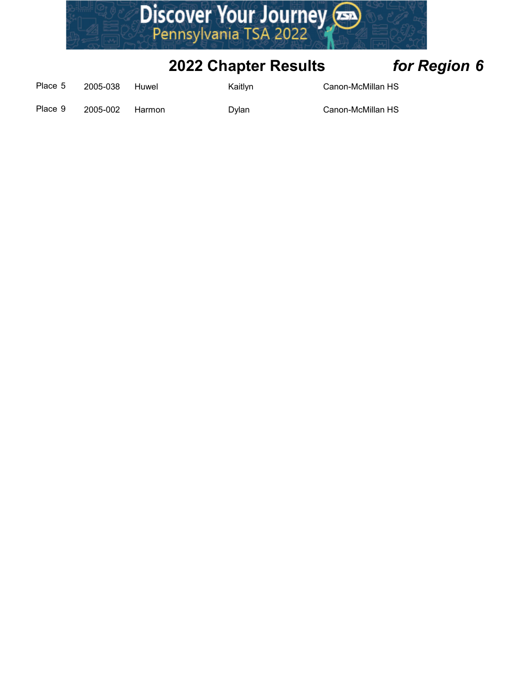

| Place 5 | 2005-038        | Huwel | <b>Kaitlyn</b> | Canon-McMillan HS |
|---------|-----------------|-------|----------------|-------------------|
| Place 9 | 2005-002 Harmon |       | Dvlan          | Canon-McMillan HS |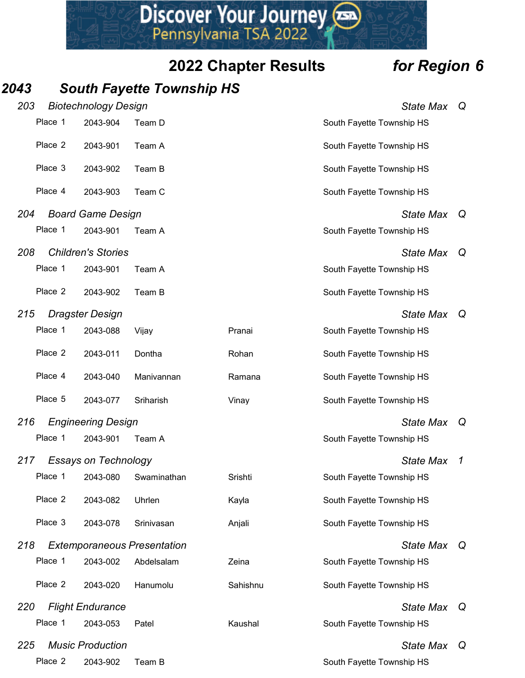# 2043 South Fayette Township HS

|     |         |                                         |                                    | Discover Your Journey       |                                               |              |
|-----|---------|-----------------------------------------|------------------------------------|-----------------------------|-----------------------------------------------|--------------|
|     |         |                                         |                                    | <b>2022 Chapter Results</b> | for Region 6                                  |              |
| 043 |         |                                         | <b>South Fayette Township HS</b>   |                             |                                               |              |
| 203 |         | <b>Biotechnology Design</b>             |                                    |                             | State Max Q                                   |              |
|     | Place 1 | 2043-904                                | Team D                             |                             | South Fayette Township HS                     |              |
|     | Place 2 | 2043-901                                | Team A                             |                             | South Fayette Township HS                     |              |
|     | Place 3 | 2043-902                                | Team B                             |                             | South Fayette Township HS                     |              |
|     | Place 4 | 2043-903                                | Team C                             |                             | South Fayette Township HS                     |              |
| 204 |         | <b>Board Game Design</b>                |                                    |                             | State Max Q                                   |              |
|     | Place 1 | 2043-901                                | Team A                             |                             | South Fayette Township HS                     |              |
| 208 |         | <b>Children's Stories</b>               |                                    |                             | State Max Q                                   |              |
|     | Place 1 | 2043-901                                | Team A                             |                             | South Fayette Township HS                     |              |
|     | Place 2 | 2043-902                                | Team B                             |                             | South Fayette Township HS                     |              |
| 215 | Place 1 | <b>Dragster Design</b>                  |                                    |                             | State Max Q                                   |              |
|     | Place 2 | 2043-088                                | Vijay                              | Pranai                      | South Fayette Township HS                     |              |
|     |         | 2043-011                                | Dontha                             | Rohan                       | South Fayette Township HS                     |              |
|     | Place 4 | 2043-040                                | Manivannan                         | Ramana                      | South Fayette Township HS                     |              |
|     | Place 5 | 2043-077                                | Sriharish                          | Vinay                       | South Fayette Township HS                     |              |
| 216 | Place 1 | <b>Engineering Design</b><br>2043-901   | Team A                             |                             | State Max Q<br>South Fayette Township HS      |              |
|     |         |                                         |                                    |                             |                                               |              |
| 217 | Place 1 | <b>Essays on Technology</b><br>2043-080 | Swaminathan                        | Srishti                     | <b>State Max</b><br>South Fayette Township HS | $\mathcal I$ |
|     | Place 2 | 2043-082                                | Uhrlen                             | Kayla                       | South Fayette Township HS                     |              |
|     | Place 3 | 2043-078                                | Srinivasan                         | Anjali                      | South Fayette Township HS                     |              |
| 218 |         |                                         | <b>Extemporaneous Presentation</b> |                             | State Max Q                                   |              |
|     | Place 1 | 2043-002                                | Abdelsalam                         | Zeina                       | South Fayette Township HS                     |              |
|     | Place 2 | 2043-020                                | Hanumolu                           | Sahishnu                    | South Fayette Township HS                     |              |
| 220 |         | <b>Flight Endurance</b>                 |                                    |                             | State Max Q                                   |              |
|     | Place 1 | 2043-053                                | Patel                              | Kaushal                     | South Fayette Township HS                     |              |
| 225 |         | <b>Music Production</b>                 |                                    |                             | State Max                                     | Q            |
|     | Place 2 | 2043-902                                | Team B                             |                             | South Fayette Township HS                     |              |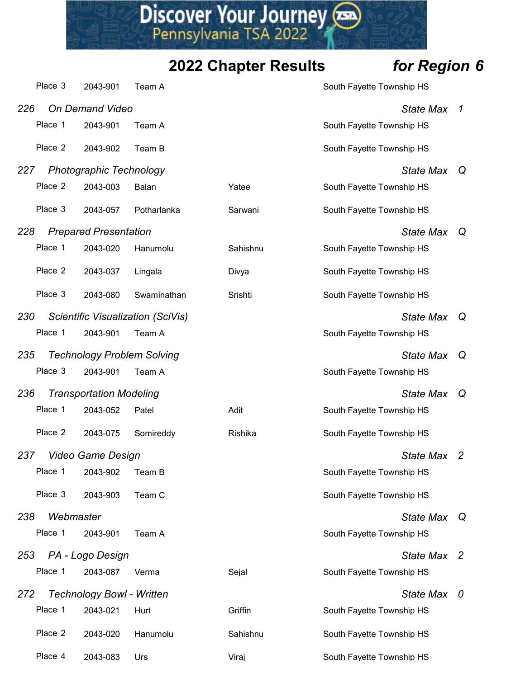|     |           |                                  |                                   | Discover Your Journey       |                                               |                            |
|-----|-----------|----------------------------------|-----------------------------------|-----------------------------|-----------------------------------------------|----------------------------|
|     |           |                                  |                                   | <b>2022 Chapter Results</b> | for Region 6                                  |                            |
|     | Place 3   | 2043-901                         | Team A                            |                             | South Fayette Township HS                     |                            |
| 226 | Place 1   | On Demand Video<br>2043-901      | Team A                            |                             | <b>State Max</b><br>South Fayette Township HS | $\boldsymbol{\mathcal{L}}$ |
|     | Place 2   | 2043-902                         | Team B                            |                             | South Fayette Township HS                     |                            |
| 227 |           | <b>Photographic Technology</b>   |                                   |                             | State Max Q                                   |                            |
|     | Place 2   | 2043-003                         | Balan                             | Yatee                       | South Fayette Township HS                     |                            |
|     | Place 3   | 2043-057                         | Potharlanka                       | Sarwani                     | South Fayette Township HS                     |                            |
| 228 |           | <b>Prepared Presentation</b>     |                                   |                             | State Max Q                                   |                            |
|     |           | Place 1 2043-020 Hanumolu        |                                   | Sahishnu                    | South Fayette Township HS                     |                            |
|     | Place 2   | 2043-037                         | Lingala                           | Divya                       | South Fayette Township HS                     |                            |
|     | Place 3   | 2043-080                         | Swaminathan                       | Srishti                     | South Fayette Township HS                     |                            |
| 230 |           |                                  | Scientific Visualization (SciVis) |                             | State Max Q                                   |                            |
|     | Place 1   | 2043-901                         | Team A                            |                             | South Fayette Township HS                     |                            |
| 235 |           |                                  | <b>Technology Problem Solving</b> |                             | State Max Q                                   |                            |
|     | Place 3   | 2043-901                         | Team A                            |                             | South Fayette Township HS                     |                            |
| 236 |           | <b>Transportation Modeling</b>   |                                   |                             | State Max                                     | Q                          |
|     | Place 1   | 2043-052                         | Patel                             | Adit                        | South Fayette Township HS                     |                            |
|     | Place 2   | 2043-075                         | Somireddy                         | Rishika                     | South Fayette Township HS                     |                            |
| 237 |           | Video Game Design                |                                   |                             | State Max 2                                   |                            |
|     | Place 1   | 2043-902                         | Team B                            |                             | South Fayette Township HS                     |                            |
|     | Place 3   | 2043-903                         | Team C                            |                             | South Fayette Township HS                     |                            |
| 238 | Webmaster |                                  |                                   |                             | State Max Q                                   |                            |
|     | Place 1   | 2043-901                         | Team A                            |                             | South Fayette Township HS                     |                            |
| 253 |           | PA - Logo Design                 |                                   |                             | State Max 2                                   |                            |
|     | Place 1   | 2043-087                         | Verma                             | Sejal                       | South Fayette Township HS                     |                            |
| 272 |           | <b>Technology Bowl - Written</b> |                                   |                             | State Max 0                                   |                            |
|     | Place 1   | 2043-021                         | Hurt                              | Griffin                     | South Fayette Township HS                     |                            |
|     | Place 2   |                                  | 2043-020 Hanumolu                 | Sahishnu                    | South Fayette Township HS                     |                            |
|     | Place 4   | 2043-083                         | Urs                               | Viraj                       | South Fayette Township HS                     |                            |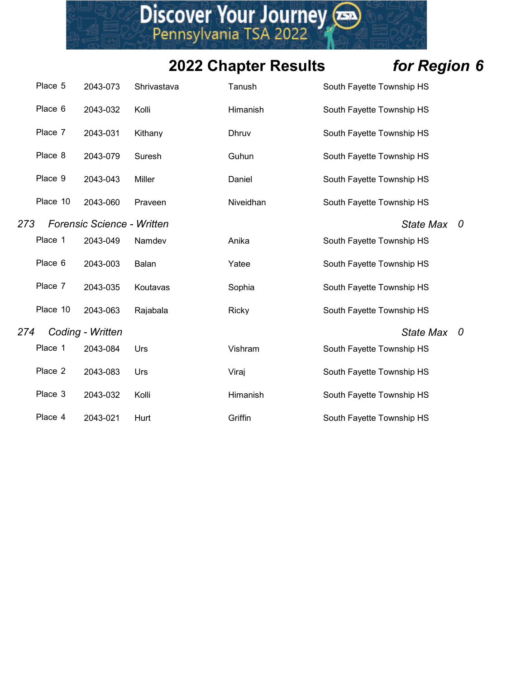|     |          |                                   |             | Discover Your Journey       |                           |   |
|-----|----------|-----------------------------------|-------------|-----------------------------|---------------------------|---|
|     |          |                                   |             | <b>2022 Chapter Results</b> | for Region 6              |   |
|     | Place 5  | 2043-073                          | Shrivastava | Tanush                      | South Fayette Township HS |   |
|     | Place 6  | 2043-032                          | Kolli       | Himanish                    | South Fayette Township HS |   |
|     | Place 7  | 2043-031                          | Kithany     | Dhruv                       | South Fayette Township HS |   |
|     | Place 8  | 2043-079                          | Suresh      | Guhun                       | South Fayette Township HS |   |
|     | Place 9  | 2043-043                          | Miller      | Daniel                      | South Fayette Township HS |   |
|     | Place 10 | 2043-060                          | Praveen     | Niveidhan                   | South Fayette Township HS |   |
| 273 |          | <b>Forensic Science - Written</b> |             |                             | <b>State Max</b>          | 0 |
|     | Place 1  | 2043-049                          | Namdev      | Anika                       | South Fayette Township HS |   |
|     | Place 6  | 2043-003                          | Balan       | Yatee                       | South Fayette Township HS |   |
|     | Place 7  | 2043-035                          | Koutavas    | Sophia                      | South Fayette Township HS |   |
|     | Place 10 | 2043-063                          | Rajabala    | Ricky                       | South Fayette Township HS |   |
| 274 |          | Coding - Written                  |             |                             | State Max 0               |   |
|     | Place 1  | 2043-084                          | Urs         | Vishram                     | South Fayette Township HS |   |
|     | Place 2  | 2043-083                          | Urs         | Viraj                       | South Fayette Township HS |   |
|     | Place 3  | 2043-032                          | Kolli       | Himanish                    | South Fayette Township HS |   |
|     | Place 4  | 2043-021                          | Hurt        | Griffin                     | South Fayette Township HS |   |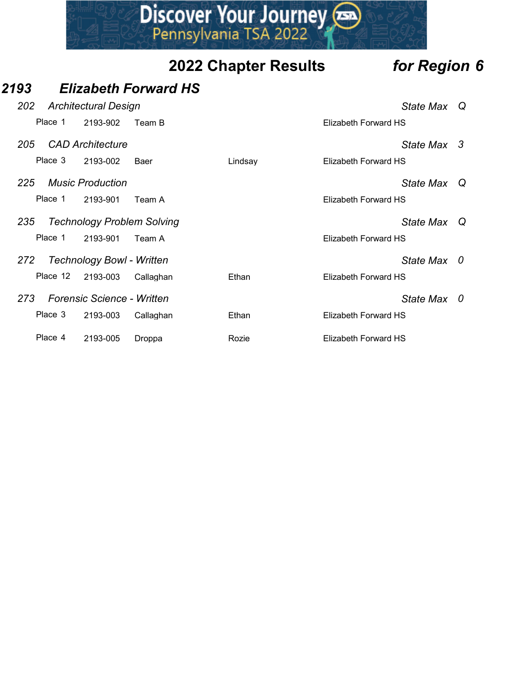# **Discover Your Journey (SDEAD)**<br> **2022 Chapter Results**<br>
2022 Chapter Results<br>
2022 Chapter Results<br>
2022 Chapter Results<br>
2022 Chapter Results<br>
2022 Chapter Results<br>
2022 Chapter Results<br>
2025 CAD Architecture 202 Architectural Design **State Max** Q **PERENT SERVICE SERVICE SERVICE SERVICE SERVICE SERVICE SERVICE SERVICE SERVICE SERVICE SERVICE SERVICE SERVICE SERVICE SERVICE SERVICE SERVICE SERVICE SERVICE SERVICE SERVICE SERVICE SERVICE SERVICE SERVICE SERVICE SERVIC Elizabeth Forward HS**<br> **2022 Chapter Results** for Region 6<br> **2022 Chapter Results** for Region 6<br> **2022 Chapter Results** for Region 6<br>
Place 1 2193-902 Team B<br>
Place 1 2193-002 Baer Lindsay Elizabeth Forward HS<br>
225 Music **Discover Your Journey Consumers (2022 Chapter Results For Region 6**<br> **Elizabeth Forward HS**<br> **Elizabeth Forward HS**<br> **Elizabeth Forward HS**<br>
CAD Architecture State Max Q<br>
Place 3 2193-002 Baer Lindsay Elizabeth Forward HS **2022 Chapter Results**<br> **2222 Chapter Results**<br> **2222 Chapter Results**<br> **2222 Chapter Results**<br> **222** Architectural Design<br>
Place 1 2193-902 Team B<br>
225 CAD Architecture<br>
Place 3 2193-002 Baer<br>
225 Music Production<br>
Place **Place 1 2193-901 Team A**<br> **Place 1 2193-901 Team A**<br> **Place 1 2193-901 Team A**<br> **Place 1 2193-901 Team A**<br> **Place 1 2193-901 Team A**<br> **Place 1 2193-901 Team A**<br> **Place 1 2193-901 Team A**<br> **Place 1 2193-901 Team A**<br> **Place** 235 Technology Problem Solving State Maximum State Maximum State Maximum State Maximum State Maximum State Maximum State Maximum State Maximum State Maximum State Maximum State Maximum State Maximum State Maximum State Max Place 1 2193-901 Team A<br>
Place 1 2193-902 Team A<br>
Place 1 2193-902 Team A<br>
Place 1 2193-902 Team A<br>
Place 1 2193-902 Team A<br>
Place 1 2193-901 Team A<br>
Place 1 2193-901 Team A<br>
Place 1 2193-901 Team A<br>
Place 1 2193-901 Team 272 Technology Bowl - Written State Max 0 **Elizabeth Forward HS**<br>
Architectural Design<br>
Place 1 2193-902 Team B<br>
CAD Architecture<br>
Place 3 2193-002 Baer<br>
Music Production<br>
Place 1 2193-901 Team A<br>
Technology Problem Solving<br>
Place 1 2193-901 Team A<br>
Technology Bow **973 Elizabeth Forward HS**<br>
273 Architectural Design<br>
273 CAD Architecture<br>
273 Music Production<br>
273 Technology Problem Solving<br>
273 Technology Bowl - Written<br>
273 Perensic Science - Written<br>
273 Perensic Science - Writte Princetural Design<br>
Place 1 2193-902 Team B<br>
Place 1 2193-902 Team B<br>
CAD Architecture<br>
Place 3 2193-002 Baer<br>
Lindsay<br>
Elizabeth Forward HS<br>
Music Production<br>
Place 1 2193-901 Team A<br>
Technology Problem Solving<br>
Place 1 2 Place 1 2193-902 Team B<br>
CAD Architecture<br>
Place 3 2193-002 Baer<br>
Music Production<br>
Music Production<br>
Place 1 2193-901 Team A<br>
Technology Problem Solving<br>
Place 1 2193-901 Team A<br>
Technology Bowl - Written<br>
Place 12 2193-0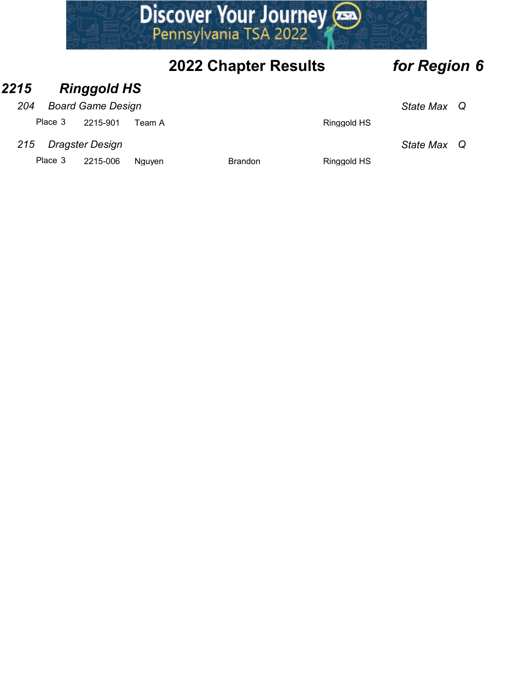# **PRESCRIP SERVICE SERVICE SERVICE SERVICE SERVICE SERVICE SERVICE SERVICE SERVICE SERVICE SCRIP SPEARING STATE SPACE SCRIP SPACE 3 2215-901 Team A Ringgold HS<br>
Place 3 2215-901 Team A Dragster Design State Max Q<br>
Place 3 2**

# 2022 Chapter Results for Region 6

# 2215 Ringgold HS

## 204 Board Game Design State Max Q

## 215 Dragster Design State Max Q

Place 3 2215-006 Nguyen Brandon Brandon Ringgold HS